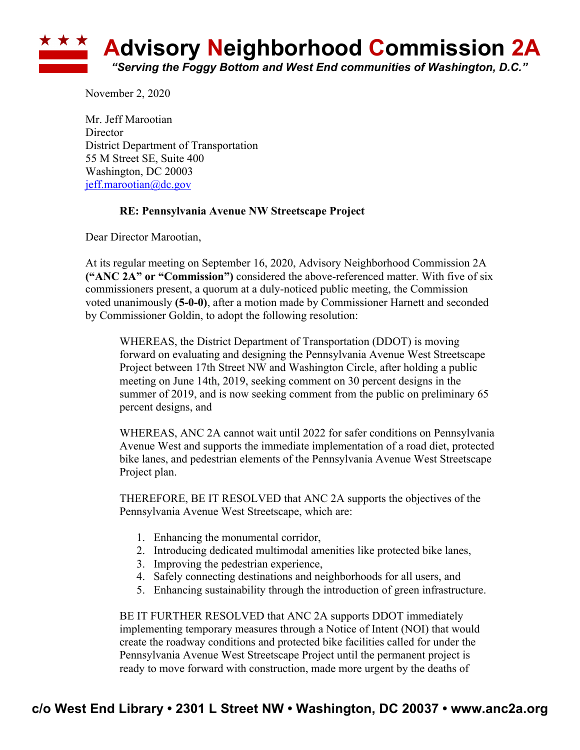

November 2, 2020

Mr. Jeff Marootian **Director** District Department of Transportation 55 M Street SE, Suite 400 Washington, DC 20003 jeff.marootian@dc.gov

## **RE: Pennsylvania Avenue NW Streetscape Project**

Dear Director Marootian,

At its regular meeting on September 16, 2020, Advisory Neighborhood Commission 2A **("ANC 2A" or "Commission")** considered the above-referenced matter. With five of six commissioners present, a quorum at a duly-noticed public meeting, the Commission voted unanimously **(5-0-0)**, after a motion made by Commissioner Harnett and seconded by Commissioner Goldin, to adopt the following resolution:

WHEREAS, the District Department of Transportation (DDOT) is moving forward on evaluating and designing the Pennsylvania Avenue West Streetscape Project between 17th Street NW and Washington Circle, after holding a public meeting on June 14th, 2019, seeking comment on 30 percent designs in the summer of 2019, and is now seeking comment from the public on preliminary 65 percent designs, and

WHEREAS, ANC 2A cannot wait until 2022 for safer conditions on Pennsylvania Avenue West and supports the immediate implementation of a road diet, protected bike lanes, and pedestrian elements of the Pennsylvania Avenue West Streetscape Project plan.

THEREFORE, BE IT RESOLVED that ANC 2A supports the objectives of the Pennsylvania Avenue West Streetscape, which are:

- 1. Enhancing the monumental corridor,
- 2. Introducing dedicated multimodal amenities like protected bike lanes,
- 3. Improving the pedestrian experience,
- 4. Safely connecting destinations and neighborhoods for all users, and
- 5. Enhancing sustainability through the introduction of green infrastructure.

BE IT FURTHER RESOLVED that ANC 2A supports DDOT immediately implementing temporary measures through a Notice of Intent (NOI) that would create the roadway conditions and protected bike facilities called for under the Pennsylvania Avenue West Streetscape Project until the permanent project is ready to move forward with construction, made more urgent by the deaths of